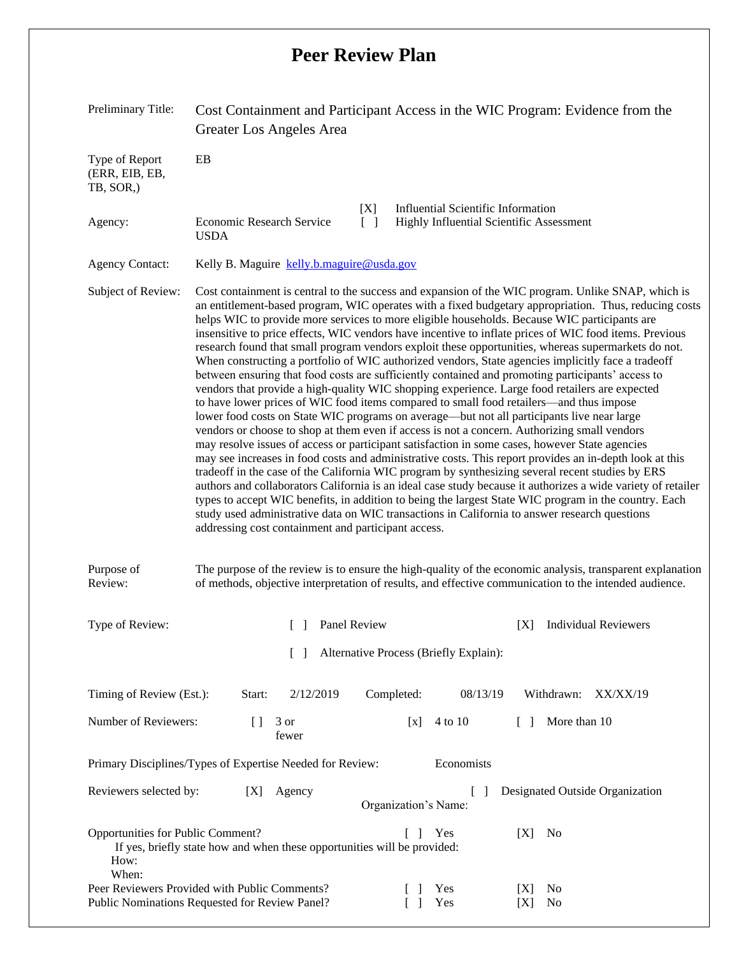## **Peer Review Plan**

| Preliminary Title:                                                                                                                                                                                                                           | Cost Containment and Participant Access in the WIC Program: Evidence from the<br>Greater Los Angeles Area                                                                                                                                                                                                                                                                                                                                                                                                                                                                                                                                                                                                                                                                                                                                                                                                                                                                                                                                                                                                                                                                                                                                                                                                                                                                                                                                                                                                                                                                                                                                                                                                                                                                                                                            |                  |                                          |                                                                   |                                                                                       |            |              |                          |
|----------------------------------------------------------------------------------------------------------------------------------------------------------------------------------------------------------------------------------------------|--------------------------------------------------------------------------------------------------------------------------------------------------------------------------------------------------------------------------------------------------------------------------------------------------------------------------------------------------------------------------------------------------------------------------------------------------------------------------------------------------------------------------------------------------------------------------------------------------------------------------------------------------------------------------------------------------------------------------------------------------------------------------------------------------------------------------------------------------------------------------------------------------------------------------------------------------------------------------------------------------------------------------------------------------------------------------------------------------------------------------------------------------------------------------------------------------------------------------------------------------------------------------------------------------------------------------------------------------------------------------------------------------------------------------------------------------------------------------------------------------------------------------------------------------------------------------------------------------------------------------------------------------------------------------------------------------------------------------------------------------------------------------------------------------------------------------------------|------------------|------------------------------------------|-------------------------------------------------------------------|---------------------------------------------------------------------------------------|------------|--------------|--------------------------|
| Type of Report<br>(ERR, EIB, EB,<br>TB, SOR,)                                                                                                                                                                                                | EB                                                                                                                                                                                                                                                                                                                                                                                                                                                                                                                                                                                                                                                                                                                                                                                                                                                                                                                                                                                                                                                                                                                                                                                                                                                                                                                                                                                                                                                                                                                                                                                                                                                                                                                                                                                                                                   |                  |                                          |                                                                   |                                                                                       |            |              |                          |
| Agency:                                                                                                                                                                                                                                      | Economic Research Service<br><b>USDA</b>                                                                                                                                                                                                                                                                                                                                                                                                                                                                                                                                                                                                                                                                                                                                                                                                                                                                                                                                                                                                                                                                                                                                                                                                                                                                                                                                                                                                                                                                                                                                                                                                                                                                                                                                                                                             |                  | [X]<br>$\begin{bmatrix} 1 \end{bmatrix}$ |                                                                   | <b>Influential Scientific Information</b><br>Highly Influential Scientific Assessment |            |              |                          |
| <b>Agency Contact:</b>                                                                                                                                                                                                                       | Kelly B. Maguire kelly.b.maguire@usda.gov                                                                                                                                                                                                                                                                                                                                                                                                                                                                                                                                                                                                                                                                                                                                                                                                                                                                                                                                                                                                                                                                                                                                                                                                                                                                                                                                                                                                                                                                                                                                                                                                                                                                                                                                                                                            |                  |                                          |                                                                   |                                                                                       |            |              |                          |
| Subject of Review:                                                                                                                                                                                                                           | Cost containment is central to the success and expansion of the WIC program. Unlike SNAP, which is<br>an entitlement-based program, WIC operates with a fixed budgetary appropriation. Thus, reducing costs<br>helps WIC to provide more services to more eligible households. Because WIC participants are<br>insensitive to price effects, WIC vendors have incentive to inflate prices of WIC food items. Previous<br>research found that small program vendors exploit these opportunities, whereas supermarkets do not.<br>When constructing a portfolio of WIC authorized vendors, State agencies implicitly face a tradeoff<br>between ensuring that food costs are sufficiently contained and promoting participants' access to<br>vendors that provide a high-quality WIC shopping experience. Large food retailers are expected<br>to have lower prices of WIC food items compared to small food retailers—and thus impose<br>lower food costs on State WIC programs on average—but not all participants live near large<br>vendors or choose to shop at them even if access is not a concern. Authorizing small vendors<br>may resolve issues of access or participant satisfaction in some cases, however State agencies<br>may see increases in food costs and administrative costs. This report provides an in-depth look at this<br>tradeoff in the case of the California WIC program by synthesizing several recent studies by ERS<br>authors and collaborators California is an ideal case study because it authorizes a wide variety of retailer<br>types to accept WIC benefits, in addition to being the largest State WIC program in the country. Each<br>study used administrative data on WIC transactions in California to answer research questions<br>addressing cost containment and participant access. |                  |                                          |                                                                   |                                                                                       |            |              |                          |
| Purpose of<br>The purpose of the review is to ensure the high-quality of the economic analysis, transparent explanation<br>Review:<br>of methods, objective interpretation of results, and effective communication to the intended audience. |                                                                                                                                                                                                                                                                                                                                                                                                                                                                                                                                                                                                                                                                                                                                                                                                                                                                                                                                                                                                                                                                                                                                                                                                                                                                                                                                                                                                                                                                                                                                                                                                                                                                                                                                                                                                                                      |                  |                                          |                                                                   |                                                                                       |            |              |                          |
| Type of Review:                                                                                                                                                                                                                              |                                                                                                                                                                                                                                                                                                                                                                                                                                                                                                                                                                                                                                                                                                                                                                                                                                                                                                                                                                                                                                                                                                                                                                                                                                                                                                                                                                                                                                                                                                                                                                                                                                                                                                                                                                                                                                      | [ ] Panel Review |                                          |                                                                   |                                                                                       |            |              | [X] Individual Reviewers |
| Alternative Process (Briefly Explain):                                                                                                                                                                                                       |                                                                                                                                                                                                                                                                                                                                                                                                                                                                                                                                                                                                                                                                                                                                                                                                                                                                                                                                                                                                                                                                                                                                                                                                                                                                                                                                                                                                                                                                                                                                                                                                                                                                                                                                                                                                                                      |                  |                                          |                                                                   |                                                                                       |            |              |                          |
| Timing of Review (Est.):                                                                                                                                                                                                                     | Start:                                                                                                                                                                                                                                                                                                                                                                                                                                                                                                                                                                                                                                                                                                                                                                                                                                                                                                                                                                                                                                                                                                                                                                                                                                                                                                                                                                                                                                                                                                                                                                                                                                                                                                                                                                                                                               | 2/12/2019        |                                          | Completed:                                                        | 08/13/19                                                                              |            | Withdrawn:   | XX/XX/19                 |
| Number of Reviewers:                                                                                                                                                                                                                         | $[ \ ]$                                                                                                                                                                                                                                                                                                                                                                                                                                                                                                                                                                                                                                                                                                                                                                                                                                                                                                                                                                                                                                                                                                                                                                                                                                                                                                                                                                                                                                                                                                                                                                                                                                                                                                                                                                                                                              | 3 or<br>fewer    |                                          | [x]                                                               | 4 to 10                                                                               | $\Box$     | More than 10 |                          |
| Primary Disciplines/Types of Expertise Needed for Review:                                                                                                                                                                                    |                                                                                                                                                                                                                                                                                                                                                                                                                                                                                                                                                                                                                                                                                                                                                                                                                                                                                                                                                                                                                                                                                                                                                                                                                                                                                                                                                                                                                                                                                                                                                                                                                                                                                                                                                                                                                                      |                  | Economists                               |                                                                   |                                                                                       |            |              |                          |
| Reviewers selected by:<br>Agency<br>[X]                                                                                                                                                                                                      |                                                                                                                                                                                                                                                                                                                                                                                                                                                                                                                                                                                                                                                                                                                                                                                                                                                                                                                                                                                                                                                                                                                                                                                                                                                                                                                                                                                                                                                                                                                                                                                                                                                                                                                                                                                                                                      |                  |                                          | Designated Outside Organization<br>$\Box$<br>Organization's Name: |                                                                                       |            |              |                          |
| Opportunities for Public Comment?<br>No<br>$\begin{bmatrix} 1 \end{bmatrix}$<br>Yes<br>[X]<br>If yes, briefly state how and when these opportunities will be provided:<br>How:<br>When:                                                      |                                                                                                                                                                                                                                                                                                                                                                                                                                                                                                                                                                                                                                                                                                                                                                                                                                                                                                                                                                                                                                                                                                                                                                                                                                                                                                                                                                                                                                                                                                                                                                                                                                                                                                                                                                                                                                      |                  |                                          |                                                                   |                                                                                       |            |              |                          |
| Peer Reviewers Provided with Public Comments?<br>Public Nominations Requested for Review Panel?                                                                                                                                              |                                                                                                                                                                                                                                                                                                                                                                                                                                                                                                                                                                                                                                                                                                                                                                                                                                                                                                                                                                                                                                                                                                                                                                                                                                                                                                                                                                                                                                                                                                                                                                                                                                                                                                                                                                                                                                      |                  |                                          |                                                                   | Yes<br>Yes                                                                            | [X]<br>[X] | No<br>No     |                          |